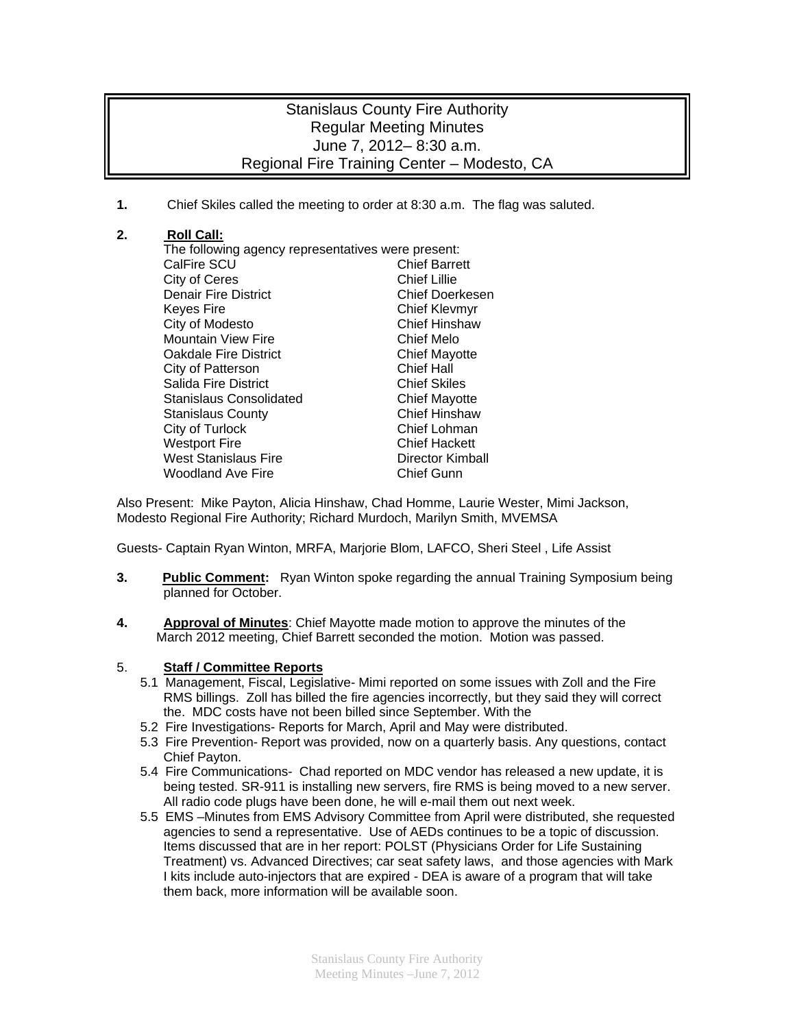## Stanislaus County Fire Authority Regular Meeting Minutes June 7, 2012– 8:30 a.m. Regional Fire Training Center – Modesto, CA

**1.** Chief Skiles called the meeting to order at 8:30 a.m. The flag was saluted.

## **2. Roll Call:**

The following agency representatives were present: CalFire SCU Chief Barrett City of Ceres<br>
Denair Fire District<br>
Denair Fire District<br>
Chief Doerkesen Denair Fire District Keyes Fire **Chief Kleymyr** City of Modesto **Chief Hinshaw** Mountain View Fire **Chief Melo Oakdale Fire District Chief Mayotte** City of Patterson Chief Hall Salida Fire District **Chief Skiles** Stanislaus Consolidated **Chief Mayotte** Stanislaus County **Chief Hinshaw** City of Turlock Chief Lohman Westport Fire **Chief Hackett** West Stanislaus Fire **Director Kimball** Woodland Ave Fire **Chief Gunn** 

Also Present: Mike Payton, Alicia Hinshaw, Chad Homme, Laurie Wester, Mimi Jackson, Modesto Regional Fire Authority; Richard Murdoch, Marilyn Smith, MVEMSA

Guests- Captain Ryan Winton, MRFA, Marjorie Blom, LAFCO, Sheri Steel , Life Assist

- **3. Public Comment:** Ryan Winton spoke regarding the annual Training Symposium being planned for October.
- **4. Approval of Minutes**: Chief Mayotte made motion to approve the minutes of the March 2012 meeting, Chief Barrett seconded the motion. Motion was passed.

## 5. **Staff / Committee Reports**

- 5.1 Management, Fiscal, Legislative- Mimi reported on some issues with Zoll and the Fire RMS billings. Zoll has billed the fire agencies incorrectly, but they said they will correct the. MDC costs have not been billed since September. With the
- 5.2 Fire Investigations- Reports for March, April and May were distributed.
- 5.3 Fire Prevention- Report was provided, now on a quarterly basis. Any questions, contact Chief Payton.
- 5.4 Fire Communications- Chad reported on MDC vendor has released a new update, it is being tested. SR-911 is installing new servers, fire RMS is being moved to a new server. All radio code plugs have been done, he will e-mail them out next week.
- 5.5 EMS –Minutes from EMS Advisory Committee from April were distributed, she requested agencies to send a representative. Use of AEDs continues to be a topic of discussion. Items discussed that are in her report: POLST (Physicians Order for Life Sustaining Treatment) vs. Advanced Directives; car seat safety laws, and those agencies with Mark I kits include auto-injectors that are expired - DEA is aware of a program that will take them back, more information will be available soon.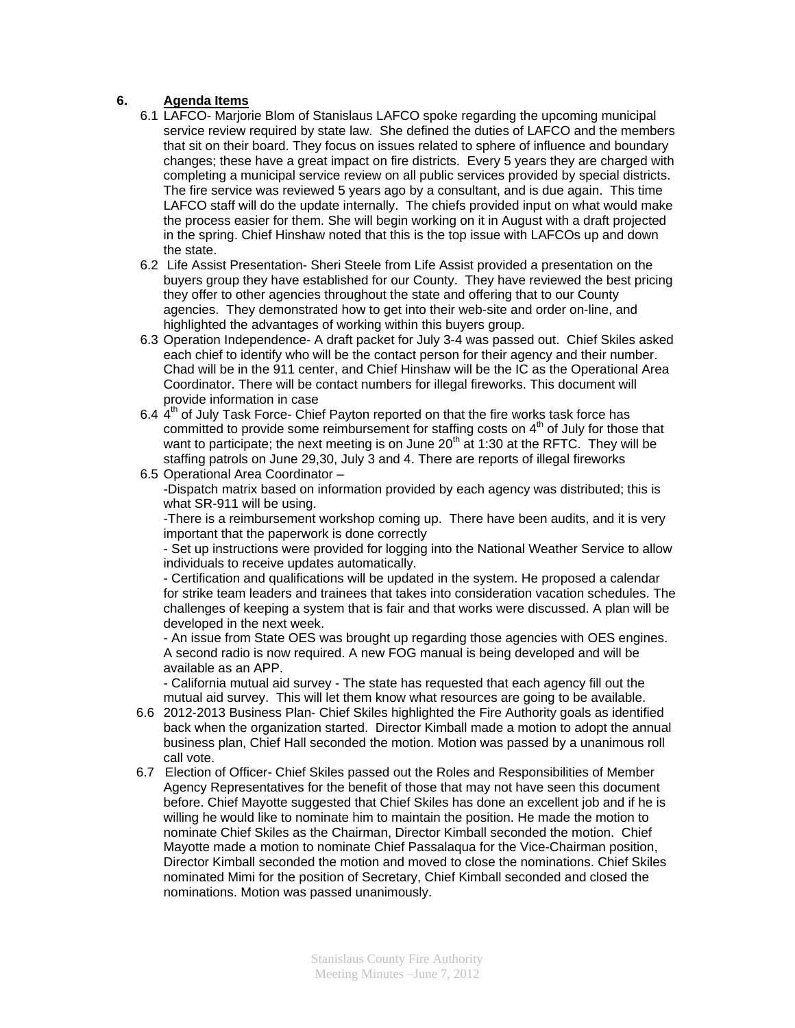## **6. Agenda Items**

- 6.1 LAFCO- Marjorie Blom of Stanislaus LAFCO spoke regarding the upcoming municipal service review required by state law. She defined the duties of LAFCO and the members that sit on their board. They focus on issues related to sphere of influence and boundary changes; these have a great impact on fire districts. Every 5 years they are charged with completing a municipal service review on all public services provided by special districts. The fire service was reviewed 5 years ago by a consultant, and is due again. This time LAFCO staff will do the update internally. The chiefs provided input on what would make the process easier for them. She will begin working on it in August with a draft projected in the spring. Chief Hinshaw noted that this is the top issue with LAFCOs up and down the state.
- 6.2 Life Assist Presentation- Sheri Steele from Life Assist provided a presentation on the buyers group they have established for our County. They have reviewed the best pricing they offer to other agencies throughout the state and offering that to our County agencies. They demonstrated how to get into their web-site and order on-line, and highlighted the advantages of working within this buyers group.
- 6.3 Operation Independence- A draft packet for July 3-4 was passed out. Chief Skiles asked each chief to identify who will be the contact person for their agency and their number. Chad will be in the 911 center, and Chief Hinshaw will be the IC as the Operational Area Coordinator. There will be contact numbers for illegal fireworks. This document will provide information in case
- 6.4  $4<sup>th</sup>$  of July Task Force- Chief Payton reported on that the fire works task force has committed to provide some reimbursement for staffing costs on  $4<sup>th</sup>$  of July for those that want to participate; the next meeting is on June  $20<sup>th</sup>$  at 1:30 at the RFTC. They will be staffing patrols on June 29,30, July 3 and 4. There are reports of illegal fireworks
- 6.5 Operational Area Coordinator –

-Dispatch matrix based on information provided by each agency was distributed; this is what SR-911 will be using.

-There is a reimbursement workshop coming up. There have been audits, and it is very important that the paperwork is done correctly

- Set up instructions were provided for logging into the National Weather Service to allow individuals to receive updates automatically.

- Certification and qualifications will be updated in the system. He proposed a calendar for strike team leaders and trainees that takes into consideration vacation schedules. The challenges of keeping a system that is fair and that works were discussed. A plan will be developed in the next week.

- An issue from State OES was brought up regarding those agencies with OES engines. A second radio is now required. A new FOG manual is being developed and will be available as an APP.

- California mutual aid survey - The state has requested that each agency fill out the mutual aid survey. This will let them know what resources are going to be available.

- 6.6 2012-2013 Business Plan- Chief Skiles highlighted the Fire Authority goals as identified back when the organization started. Director Kimball made a motion to adopt the annual business plan, Chief Hall seconded the motion. Motion was passed by a unanimous roll call vote.
- 6.7 Election of Officer- Chief Skiles passed out the Roles and Responsibilities of Member Agency Representatives for the benefit of those that may not have seen this document before. Chief Mayotte suggested that Chief Skiles has done an excellent job and if he is willing he would like to nominate him to maintain the position. He made the motion to nominate Chief Skiles as the Chairman, Director Kimball seconded the motion. Chief Mayotte made a motion to nominate Chief Passalaqua for the Vice-Chairman position, Director Kimball seconded the motion and moved to close the nominations. Chief Skiles nominated Mimi for the position of Secretary, Chief Kimball seconded and closed the nominations. Motion was passed unanimously.